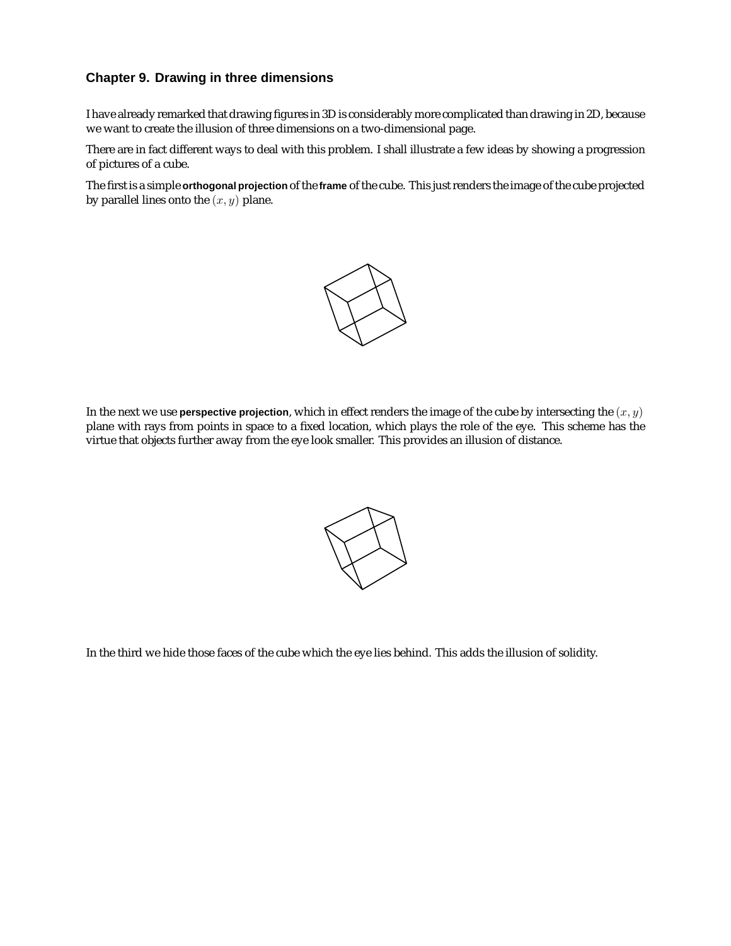## **Chapter 9. Drawing in three dimensions**

I have already remarked that drawing figures in 3D is considerably more complicated than drawing in 2D, because we want to create the illusion of three dimensions on a two-dimensional page.

There are in fact different ways to deal with this problem. I shall illustrate a few ideas by showing a progression of pictures of a cube.

The first is a simple **orthogonal projection** of the **frame** of the cube. This just renders the image of the cube projected by parallel lines onto the  $(x, y)$  plane.



In the next we use **perspective projection**, which in effect renders the image of the cube by intersecting the  $(x, y)$ plane with rays from points in space to a fixed location, which plays the role of the eye. This scheme has the virtue that objects further away from the eye look smaller. This provides an illusion of distance.



In the third we hide those faces of the cube which the eye lies behind. This adds the illusion of solidity.